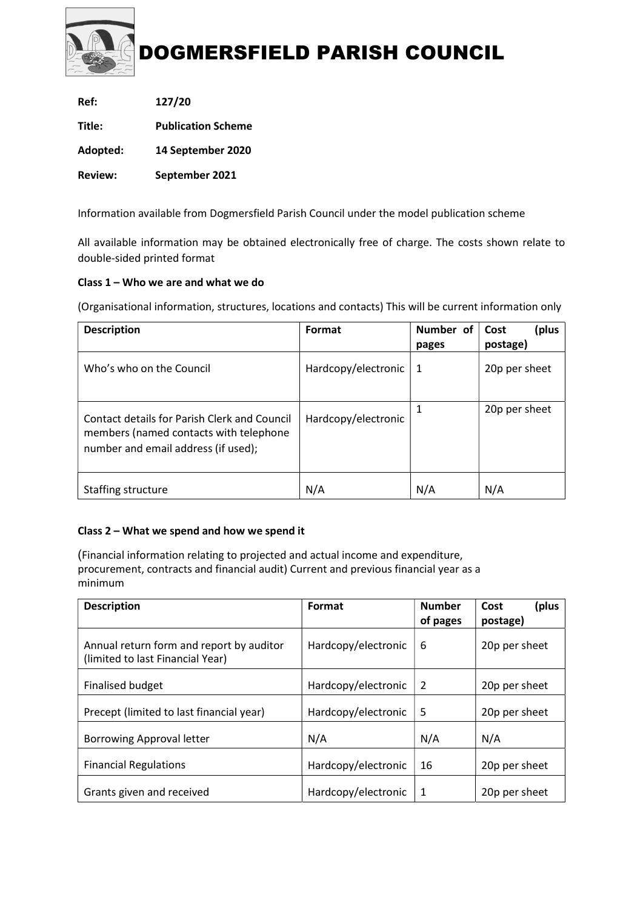

| Ref:           | 127/20                    |
|----------------|---------------------------|
| Title:         | <b>Publication Scheme</b> |
| Adopted:       | 14 September 2020         |
| <b>Review:</b> | September 2021            |

Information available from Dogmersfield Parish Council under the model publication scheme

All available information may be obtained electronically free of charge. The costs shown relate to double-sided printed format

# Class 1 – Who we are and what we do

(Organisational information, structures, locations and contacts) This will be current information only

| <b>Description</b>                                                                                                                   | Format              | Number of<br>pages | Cost<br>plus)<br>postage) |
|--------------------------------------------------------------------------------------------------------------------------------------|---------------------|--------------------|---------------------------|
| Who's who on the Council                                                                                                             | Hardcopy/electronic | 1                  | 20p per sheet             |
| <b>Contact details for Parish Clerk and Council</b><br>members (named contacts with telephone<br>number and email address (if used); | Hardcopy/electronic | 1                  | 20p per sheet             |
| Staffing structure                                                                                                                   | N/A                 | N/A                | N/A                       |

# Class 2 – What we spend and how we spend it

(Financial information relating to projected and actual income and expenditure, procurement, contracts and financial audit) Current and previous financial year as a minimum

| <b>Description</b>                                                           | Format              | <b>Number</b><br>of pages | (plus<br>Cost<br>postage) |
|------------------------------------------------------------------------------|---------------------|---------------------------|---------------------------|
| Annual return form and report by auditor<br>(limited to last Financial Year) | Hardcopy/electronic | 6                         | 20p per sheet             |
| <b>Finalised budget</b>                                                      | Hardcopy/electronic | 2                         | 20p per sheet             |
| Precept (limited to last financial year)                                     | Hardcopy/electronic | 5                         | 20p per sheet             |
| <b>Borrowing Approval letter</b>                                             | N/A                 | N/A                       | N/A                       |
| <b>Financial Regulations</b>                                                 | Hardcopy/electronic | 16                        | 20p per sheet             |
| Grants given and received                                                    | Hardcopy/electronic | 1                         | 20p per sheet             |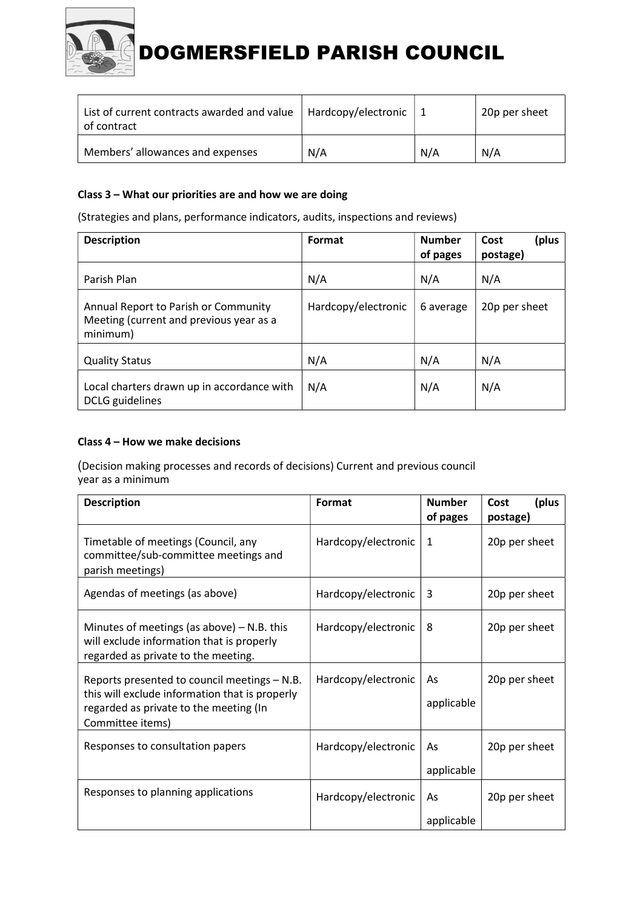

| List of current contracts awarded and value<br>of contract | Hardcopy/electronic |     | 20p per sheet |
|------------------------------------------------------------|---------------------|-----|---------------|
| Members' allowances and expenses                           | N/A                 | N/A | N/A           |

#### Class 3 – What our priorities are and how we are doing

(Strategies and plans, performance indicators, audits, inspections and reviews)

| <b>Description</b>                                                                          | Format              | <b>Number</b><br>of pages | plus)<br>Cost<br>postage) |
|---------------------------------------------------------------------------------------------|---------------------|---------------------------|---------------------------|
| Parish Plan                                                                                 | N/A                 | N/A                       | N/A                       |
| Annual Report to Parish or Community<br>Meeting (current and previous year as a<br>minimum) | Hardcopy/electronic | 6 average                 | 20p per sheet             |
| <b>Quality Status</b>                                                                       | N/A                 | N/A                       | N/A                       |
| Local charters drawn up in accordance with<br>DCLG guidelines                               | N/A                 | N/A                       | N/A                       |

#### Class 4 – How we make decisions

(Decision making processes and records of decisions) Current and previous council year as a minimum

| <b>Description</b>                                                                                                                                           | Format              | <b>Number</b>    | (plus<br>Cost |
|--------------------------------------------------------------------------------------------------------------------------------------------------------------|---------------------|------------------|---------------|
|                                                                                                                                                              |                     | of pages         | postage)      |
| Timetable of meetings (Council, any<br>committee/sub-committee meetings and<br>parish meetings)                                                              | Hardcopy/electronic | 1                | 20p per sheet |
| Agendas of meetings (as above)                                                                                                                               | Hardcopy/electronic | 3                | 20p per sheet |
| Minutes of meetings (as above) $-$ N.B. this<br>will exclude information that is properly<br>regarded as private to the meeting.                             | Hardcopy/electronic | 8                | 20p per sheet |
| Reports presented to council meetings - N.B.<br>this will exclude information that is properly<br>regarded as private to the meeting (In<br>Committee items) | Hardcopy/electronic | As<br>applicable | 20p per sheet |
| Responses to consultation papers                                                                                                                             | Hardcopy/electronic | As<br>applicable | 20p per sheet |
| Responses to planning applications                                                                                                                           | Hardcopy/electronic | As<br>applicable | 20p per sheet |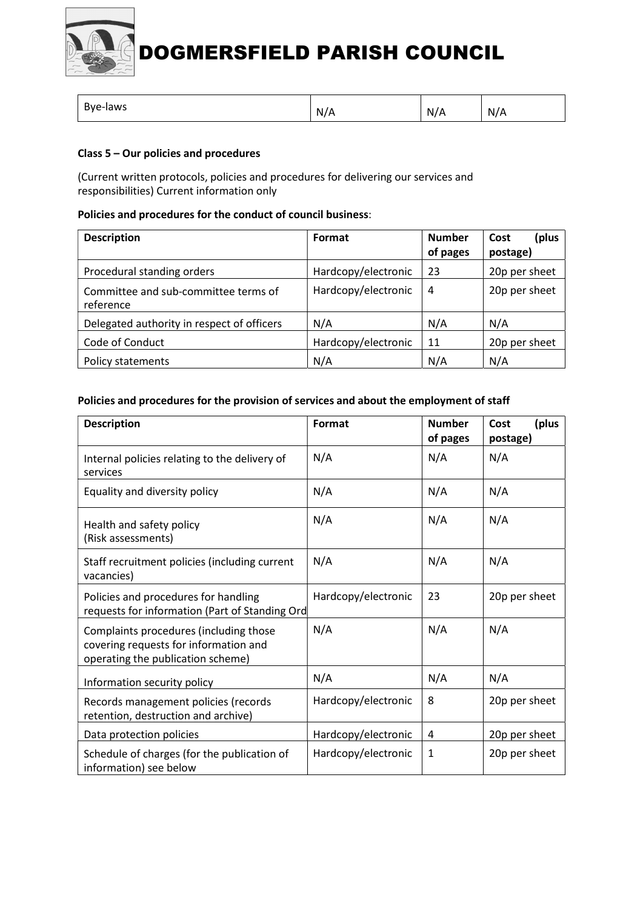

|  | Bye-laws | N/A | N/A | N/A |
|--|----------|-----|-----|-----|
|--|----------|-----|-----|-----|

# Class 5 – Our policies and procedures

(Current written protocols, policies and procedures for delivering our services and responsibilities) Current information only

#### Policies and procedures for the conduct of council business:

| <b>Description</b>                                | Format              | <b>Number</b><br>of pages | (plus<br>Cost<br>postage) |
|---------------------------------------------------|---------------------|---------------------------|---------------------------|
| Procedural standing orders                        | Hardcopy/electronic | 23                        | 20p per sheet             |
| Committee and sub-committee terms of<br>reference | Hardcopy/electronic | 4                         | 20p per sheet             |
| Delegated authority in respect of officers        | N/A                 | N/A                       | N/A                       |
| Code of Conduct                                   | Hardcopy/electronic | 11                        | 20p per sheet             |
| Policy statements                                 | N/A                 | N/A                       | N/A                       |

#### Policies and procedures for the provision of services and about the employment of staff

| <b>Description</b>                                                                                                   | Format              | <b>Number</b><br>of pages | (plus<br>Cost<br>postage) |
|----------------------------------------------------------------------------------------------------------------------|---------------------|---------------------------|---------------------------|
| Internal policies relating to the delivery of<br>services                                                            | N/A                 | N/A                       | N/A                       |
| Equality and diversity policy                                                                                        | N/A                 | N/A                       | N/A                       |
| Health and safety policy<br>(Risk assessments)                                                                       | N/A                 | N/A                       | N/A                       |
| Staff recruitment policies (including current<br>vacancies)                                                          | N/A                 | N/A                       | N/A                       |
| Policies and procedures for handling<br>requests for information (Part of Standing Ord                               | Hardcopy/electronic | 23                        | 20p per sheet             |
| Complaints procedures (including those<br>covering requests for information and<br>operating the publication scheme) | N/A                 | N/A                       | N/A                       |
| Information security policy                                                                                          | N/A                 | N/A                       | N/A                       |
| Records management policies (records<br>retention, destruction and archive)                                          | Hardcopy/electronic | 8                         | 20p per sheet             |
| Data protection policies                                                                                             | Hardcopy/electronic | 4                         | 20p per sheet             |
| Schedule of charges (for the publication of<br>information) see below                                                | Hardcopy/electronic | 1                         | 20p per sheet             |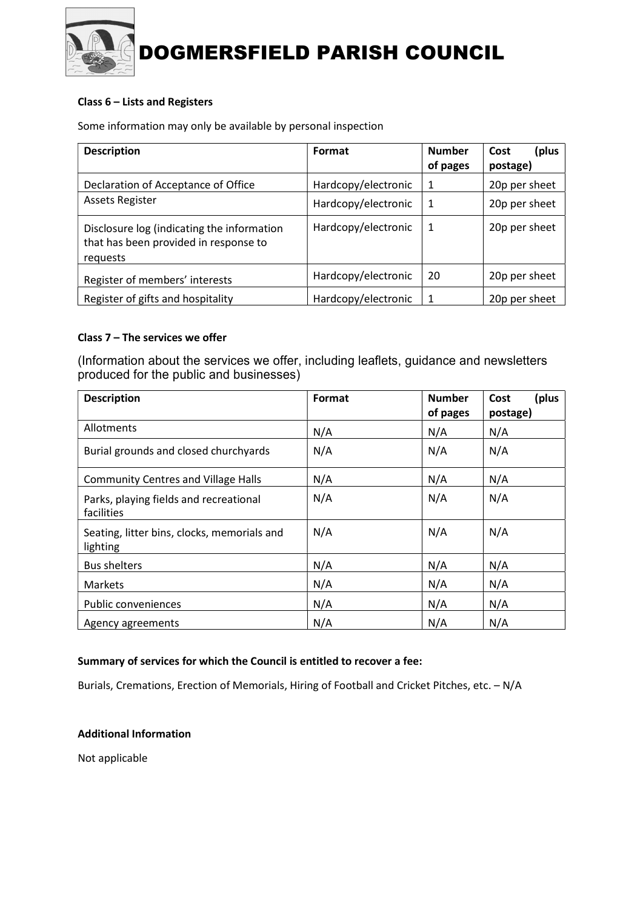

# Class 6 – Lists and Registers

Some information may only be available by personal inspection

| <b>Description</b>                                                                              | Format              | <b>Number</b><br>of pages | (plus<br>Cost<br>postage) |
|-------------------------------------------------------------------------------------------------|---------------------|---------------------------|---------------------------|
| Declaration of Acceptance of Office                                                             | Hardcopy/electronic | 1                         | 20p per sheet             |
| <b>Assets Register</b>                                                                          | Hardcopy/electronic | -1                        | 20p per sheet             |
| Disclosure log (indicating the information<br>that has been provided in response to<br>requests | Hardcopy/electronic | -1                        | 20p per sheet             |
| Register of members' interests                                                                  | Hardcopy/electronic | 20                        | 20p per sheet             |
| Register of gifts and hospitality                                                               | Hardcopy/electronic | 1                         | 20p per sheet             |

# Class 7 – The services we offer

(Information about the services we offer, including leaflets, guidance and newsletters produced for the public and businesses)

| <b>Description</b>                                      | Format | <b>Number</b> | (plus<br>Cost |
|---------------------------------------------------------|--------|---------------|---------------|
|                                                         |        | of pages      | postage)      |
| Allotments                                              | N/A    | N/A           | N/A           |
| Burial grounds and closed churchyards                   | N/A    | N/A           | N/A           |
| <b>Community Centres and Village Halls</b>              | N/A    | N/A           | N/A           |
| Parks, playing fields and recreational<br>facilities    | N/A    | N/A           | N/A           |
| Seating, litter bins, clocks, memorials and<br>lighting | N/A    | N/A           | N/A           |
| <b>Bus shelters</b>                                     | N/A    | N/A           | N/A           |
| <b>Markets</b>                                          | N/A    | N/A           | N/A           |
| Public conveniences                                     | N/A    | N/A           | N/A           |
| Agency agreements                                       | N/A    | N/A           | N/A           |

#### Summary of services for which the Council is entitled to recover a fee:

Burials, Cremations, Erection of Memorials, Hiring of Football and Cricket Pitches, etc. – N/A

#### Additional Information

Not applicable